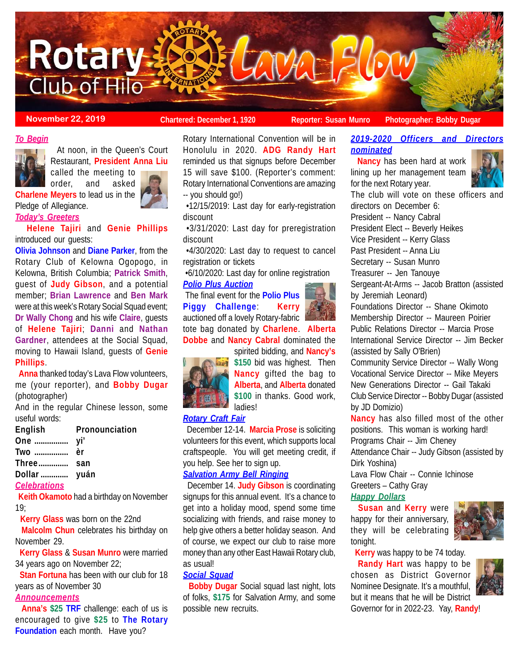

**November 22, 2019 Chartered: December 1, 1920 Reporter: Susan Munro** Photographer: Bobby Dugar

#### *To Begin*



 At noon, in the Queen's Court Restaurant, **President Anna Liu** called the meeting to

order, and asked **Charlene Meyers** to lead us in the Pledge of Allegiance.



*Today's Greeters* **Helene Tajiri** and **Genie Phillips**

introduced our guests:

**Olivia Johnson** and **Diane Parker**, from the Rotary Club of Kelowna Ogopogo, in Kelowna, British Columbia; **Patrick Smith**, guest of **Judy Gibson**, and a potential member; **Brian Lawrence** and **Ben Mark** were at this week's Rotary Social Squad event; **Dr Wally Chong** and his wife **Claire**, guests of **Helene Tajiri**; **Danni** and **Nathan Gardner**, attendees at the Social Squad, moving to Hawaii Island, guests of **Genie Phillips**.

 **Anna** thanked today's Lava Flow volunteers, me (your reporter), and **Bobby Dugar** (photographer)

And in the regular Chinese lesson, some useful words:

| English             | Pronounciation |
|---------------------|----------------|
|                     |                |
| Two  èr             |                |
| Three san           |                |
| Dollar  yuán        |                |
| <b>Celebrations</b> |                |

 **Keith Okamoto** had a birthday on November 19;

 **Kerry Glass** was born on the 22nd

 **Malcolm Chun** celebrates his birthday on November 29.

 **Kerry Glass** & **Susan Munro** were married 34 years ago on November 22;

 **Stan Fortuna** has been with our club for 18 years as of November 30

# *Announcements*

 **Anna's \$25 TRF** challenge: each of us is encouraged to give **\$25** to **The Rotary Foundation** each month. Have you?

Rotary International Convention will be in Honolulu in 2020. **ADG Randy Hart** reminded us that signups before December 15 will save \$100. (Reporter's comment: Rotary International Conventions are amazing -- you should go!)

 •12/15/2019: Last day for early-registration discount

 •3/31/2020: Last day for preregistration discount

 •4/30/2020: Last day to request to cancel registration or tickets

•6/10/2020: Last day for online registration

# *Polio Plus Auction*

 The final event for the **Polio Plus Piggy Challenge**: **Kerry** auctioned off a lovely Rotary-fabric tote bag donated by **Charlene**. **Alberta Dobbe** and **Nancy Cabral** dominated the



spirited bidding, and **Nancy's \$150** bid was highest. Then **Nancy** gifted the bag to



## *Rotary Craft Fair*

 December 12-14. **Marcia Prose** is soliciting volunteers for this event, which supports local craftspeople. You will get meeting credit, if you help. See her to sign up.

# *Salvation Army Bell Ringing*

 December 14. **Judy Gibson** is coordinating signups for this annual event. It's a chance to get into a holiday mood, spend some time socializing with friends, and raise money to help give others a better holiday season. And of course, we expect our club to raise more money than any other East Hawaii Rotary club, as usual!

### *Social Squad*

 **Bobby Dugar** Social squad last night, lots of folks, **\$175** for Salvation Army, and some possible new recruits.

# *2019-2020 Officers and Directors nominated*

 **Nancy** has been hard at work lining up her management team for the next Rotary year.



The club will vote on these officers and directors on December 6: President -- Nancy Cabral President Elect -- Beverly Heikes Vice President -- Kerry Glass Past President -- Anna Liu Secretary -- Susan Munro Treasurer -- Jen Tanouye Sergeant-At-Arms -- Jacob Bratton (assisted by Jeremiah Leonard) Foundations Director -- Shane Okimoto Membership Director -- Maureen Poirier Public Relations Director -- Marcia Prose International Service Director -- Jim Becker (assisted by Sally O'Brien) Community Service Director -- Wally Wong Vocational Service Director -- Mike Meyers New Generations Director -- Gail Takaki Club Service Director -- Bobby Dugar (assisted by JD Domizio) **Nancy** has also filled most of the other positions. This woman is working hard! Programs Chair -- Jim Cheney Attendance Chair -- Judy Gibson (assisted by Dirk Yoshina) Lava Flow Chair -- Connie Ichinose Greeters – Cathy Gray

*Happy Dollars*

 **Susan** and **Kerry** were happy for their anniversary, they will be celebrating tonight.



 **Kerry** was happy to be 74 today.

 **Randy Hart** was happy to be chosen as District Governor Nominee Designate. It's a mouthful, but it means that he will be District Governor for in 2022-23. Yay, **Randy**!

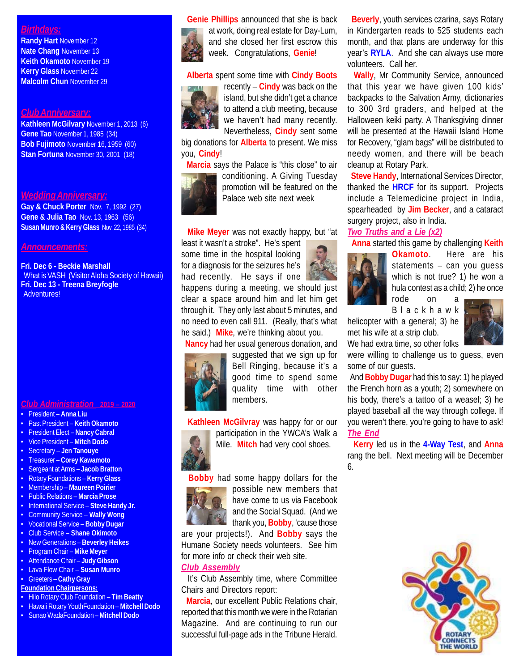### *Birthdays:*

**Randy Hart** November 12 **Nate Chang** November 13 **Keith Okamoto** November 19 **Kerry Glass** November 22 **Malcolm Chun** November 29

#### *Club Anniversary:*

**Kathleen McGilvary** November 1, 2013 (6) **Gene Tao** November 1, 1985 (34) **Bob Fujimoto** November 16, 1959 (60) **Stan Fortuna** November 30, 2001 (18)

## *Wedding Anniversary:*

**Gay & Chuck Porter** Nov. 7, 1992 (27) **Gene & Julia Tao** Nov. 13, 1963 (56) **Susan Munro & Kerry Glass** Nov. 22, 1985 (34)

## *Announcements:*

**Fri. Dec 6 - Beckie Marshall** What is VASH (Visitor Aloha Society of Hawaii) **Fri. Dec 13 - Treena Breyfogle** Adventures!

#### *Club Administration* **2019 – 2020**

- President **Anna Liu**
- Past President **Keith Okamoto**
- President Elect **Nancy Cabral**
- Vice President **Mitch Dodo**
- Secretary **Jen Tanouye**
- Treasurer **Corey Kawamoto**
- Sergeant at Arms – **Jacob Bratton**
- Rotary Foundations **Kerry Glass**
- Membership **Maureen Poirier**
- Public Relations **Marcia Prose**
- International Service **Steve Handy Jr.**
- Community Service **Wally Wong**
- Vocational Service **Bobby Dugar**
- Club Service **Shane Okimoto**
- New Generations **Beverley Heikes** • Program Chair – **Mike Meyer**
- Attendance Chair **Judy Gibson**
- Lava Flow Chair **Susan Munro**
- Greeters **Cathy Gray**

#### **Foundation Chairpersons:**

- Hilo Rotary Club Foundation **Tim Beatty**
- Hawaii Rotary YouthFoundation **Mitchell Dodo**
- Sunao WadaFoundation **Mitchell Dodo**



 **Genie Phillips** announced that she is back at work, doing real estate for Day-Lum, and she closed her first escrow this week. Congratulations, **Genie**!

**Alberta** spent some time with **Cindy Boots**



recently – **Cindy** was back on the island, but she didn't get a chance to attend a club meeting, because we haven't had many recently. Nevertheless, **Cindy** sent some

big donations for **Alberta** to present. We miss you, **Cindy**!

 **Marcia** says the Palace is "this close" to air conditioning. A Giving Tuesday promotion will be featured on the Palace web site next week

**Mike Meyer** was not exactly happy, but "at

least it wasn't a stroke". He's spent some time in the hospital looking for a diagnosis for the seizures he's had recently. He says if one

happens during a meeting, we should just clear a space around him and let him get through it. They only last about 5 minutes, and no need to even call 911. (Really, that's what he said.) **Mike**, we're thinking about you.

**Nancy** had her usual generous donation, and



suggested that we sign up for Bell Ringing, because it's a good time to spend some quality time with other members.

**Kathleen McGilvray** was happy for or our



participation in the YWCA's Walk a Mile. **Mitch** had very cool shoes.

**Bobby** had some happy dollars for the



possible new members that have come to us via Facebook and the Social Squad. (And we thank you, **Bobby**, 'cause those

are your projects!). And **Bobby** says the Humane Society needs volunteers. See him for more info or check their web site.

## *Club Assembly*

 It's Club Assembly time, where Committee Chairs and Directors report:

 **Marcia**, our excellent Public Relations chair, reported that this month we were in the Rotarian Magazine. And are continuing to run our successful full-page ads in the Tribune Herald.

 **Beverly**, youth services czarina, says Rotary in Kindergarten reads to 525 students each month, and that plans are underway for this year's **RYLA**. And she can always use more volunteers. Call her.

 **Wally**, Mr Community Service, announced that this year we have given 100 kids' backpacks to the Salvation Army, dictionaries to 300 3rd graders, and helped at the Halloween keiki party. A Thanksgiving dinner will be presented at the Hawaii Island Home for Recovery, "glam bags" will be distributed to needy women, and there will be beach cleanup at Rotary Park.

 **Steve Handy**, International Services Director, thanked the **HRCF** for its support. Projects include a Telemedicine project in India, spearheaded by **Jim Becker**, and a cataract surgery project, also in India.

## *Two Truths and a Lie (x2)*

**Anna** started this game by challenging **Keith**



**Okamoto**. Here are his statements – can you guess which is not true? 1) he won a hula contest as a child; 2) he once

rode on Blackhawk

helicopter with a general; 3) he met his wife at a strip club. We had extra time, so other folks



were willing to challenge us to guess, even some of our guests.

 And **Bobby Dugar** had this to say: 1) he played the French horn as a youth; 2) somewhere on his body, there's a tattoo of a weasel; 3) he played baseball all the way through college. If you weren't there, you're going to have to ask! *The End*

 **Kerry** led us in the **4-Way Test**, and **Anna** rang the bell. Next meeting will be December 6.